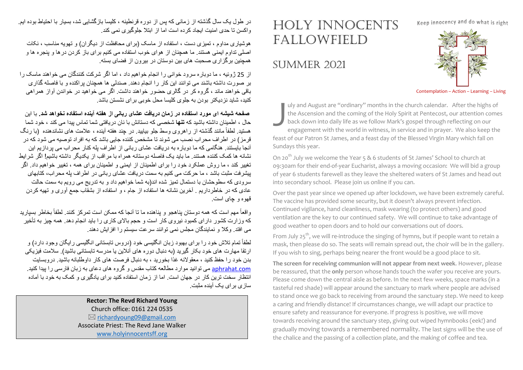Keep innocency and do what is right

## HOLY INNOCENTS FALLOWFIELD

## SUMMER 2021

## Contemplation – Action – Learning – Living

uly and August are "ordinary" months in the church calendar. After the highs of the Ascension and the coming of the Holy Spirit at Pentecost, our attention comes back down into daily life as we follow Mark's gospel through reflecting on our engagement with the world in witness, in service and in prayer. We also keep the feast of our Patron St James, and a feast day of the Blessed Virgin Mary which fall on Sundays this year. July<br>the<br>bace ng

On 20<sup>th</sup> July we welcome the Year 5 & 6 students of St James' School to church at 09:30am for their end-of-year Eucharist, always a moving occasion: We will bid a group of year 6 students farewell as they leave the sheltered waters of St James and head out into secondary school. Please join us online if you can.

Over the past year since we opened up after lockdown, we have been extremely careful. The vaccine has provided some security, but it doesn't always prevent infection. Continued vigilance, hand cleanliness, mask wearing (to protect others) and good ventilation are the key to our continued safety. We will continue to take advantage of good weather to open doors and to hold our conversations out of doors.

From July  $25^{th}$ , we will re-introduce the singing of hymns, but if people want to retain a mask, then please do so. The seats will remain spread out, the choir will be in the gallery. If you wish to sing, perhaps being nearer the front would be a good place to sit.

**The screen for receiving communion will not appear from next week**. However, please be reassured, that the **only** person whose hands touch the wafer you receive are yours. Please come down the central aisle as before. In the next few weeks, space marks (in a tasteful red shade) will appear around the sanctuary to mark where people are advised to stand once we go back to receiving from around the sanctuary step. We need to keep a caring and friendly distance! If circumstances change, we will adapt our practice to ensure safety and reassurance for everyone. If progress is positive, we will move towards receiving around the sanctuary step, giving out wiped hymnbooks (eek!) and gradually moving towards a remembered normality. The last signs will be the use of the chalice and the passing of a collection plate, and the making of coffee and tea.

در طول یک سال گذشته از زمانی که پس از دوره قرنطینه ، کلیسا بازگشایی شد، بسیار با احتیاط بوده ابع و اکسن تا حدی امنیت ایجاد کر ده است اما از ابتلا جلو گیر ی نمی کند.

هوشباری مداوم ، تمیزی دست ، استفاده از ماسک (بر ای محافظت از دیگر ان) و تھویه مناسب ، نکات اصلی نداوم ایمنی هستند. ما همچنان از هوای خوب استفاده می کنیم برای باز کردن در ها و ینجره ها و همچنین برگزاری صحبت های بین دوستان در بیرون از فضای بسته

از 25 ژوئیه ، ما دوبار ه سرود خوانی را انجام خواهیم داد ، اما اگر شرکت کنندگان می خواهند ماسک را بر صورت داشته باشند می توانند این کار را انجام دهند. صندلی ها همچنان براکنده و با فاصله گذاری باقی خواهند ماند ، گروہ کر در گالری حضور خواهند داشت. اگر می خواهید در خواندن آواز همراهی کنید، شاید نز دیکتر بودن به جلوی کلیسا محل خوبی بر ای نشستن باشد.

**صفحه شیشه ای مورد استفاده در زمان دریافت عشای ربانی از هفته آینده استفاده نخواهد شد.** با این حال ، اطمینان داشته باشید که **تنه**ا شخصبی که دستانش با نان دریافتی شما تماس بیدا می کند ، خود شما هستید لطفاً مانند گذشته از راهروی وسط جلو بیایید ٍ در چند هفته آینده ، علامت های نشاندهنده (با رنگ قرمز ) در اطراف محر اب نصب می شوند تا مشخص کننده جایی باشد که به افر اد توصیه می شود که در آنجا بایستند. هنگامی که ما دو بار ه به در یافت عشای ر بانی از اطر اف یله کنار محر اب می بر داز یم این نشانه ها کمک کننده هستند. ما باید یک فاصله دوستانه همر اه با مر اقب از پکدیگر داشته باشیم! اگر شر ایط تغییر کند ، ما روش عملکرد خود را برای اطمینان از ایمنی و اطمینان برای همه ، تغییر خواهیم داد. اگر بیشر فت مثبت باشد ، ما حرکت می کنیم به سمت در یافت عشای ر بانی در اطراف بله محر اب، کتابهای سرودی که سطوحشان با دستمال تمیز شده اند(به شما خواهیم داد و به تدریج می رویم به سمت حالت عادی که در خاطرداریم . آخرین نشانه ها استفاده از جام ، و استفاده از بشقاب جمع آوری و تھیه کردن قهوه و چای است.

واقعاً مهم است که همه دوستان پناهجو و پناهنده ما تا آنجا که ممکن است تمرکز کنند. لطفاً بخاطر بسپاريد که وزارت کشور دارای کمبود نیروی کار است و حجم بالای کاری را باید انجام دهد. همه چیز به تأخیر می افتد. وکلا و نمایندگان مجلس نمی توانند سرعت سیستم را افزایش دهند.

لطفاً تمام تلاش خود را برای بهبود زبان انگلیسی خود (دروس تابستانی انگلیسی رایگان وجود دارد) و ارتقا مهارت های خود بکار گیرید (به دنبال دوره های آنلاین یا مدرسه تابستانی باشید). سلامت فیزیکی بدن خود را حفظ کنید ، معقولانه غذا بخورید ، به دنبال فرصت های کار داوطلبانه باشید. دروبسابت aphrahat.com می توانید موارد مطالعه کتاب مقدس و گروه های دعای به زبان فارسی را بیدا کنید انتظار سخت ترین کار در جهان است. اما از زمان استفاده کنید برای یادگیری و کمک به خود با آماده ساز ی بر ای یک آبنده مثبت

> **Rector: The Revd Richard Young** Church office: 0161 224 0535  $\boxtimes$  richardyoung09@gmail.com Associate Priest: The Revd Jane Walker www.holyinnocentsff.org